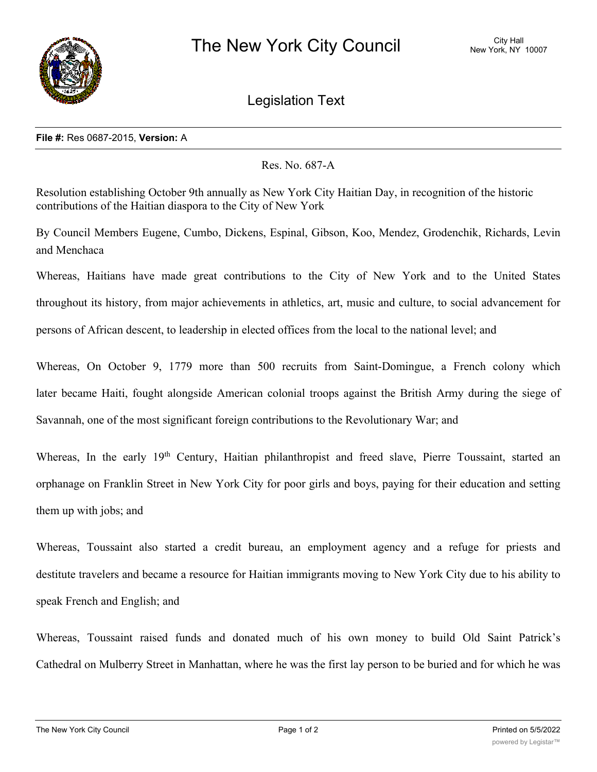

Legislation Text

## **File #:** Res 0687-2015, **Version:** A

Res. No. 687-A

Resolution establishing October 9th annually as New York City Haitian Day, in recognition of the historic contributions of the Haitian diaspora to the City of New York

By Council Members Eugene, Cumbo, Dickens, Espinal, Gibson, Koo, Mendez, Grodenchik, Richards, Levin and Menchaca

Whereas, Haitians have made great contributions to the City of New York and to the United States throughout its history, from major achievements in athletics, art, music and culture, to social advancement for persons of African descent, to leadership in elected offices from the local to the national level; and

Whereas, On October 9, 1779 more than 500 recruits from Saint-Domingue, a French colony which later became Haiti, fought alongside American colonial troops against the British Army during the siege of Savannah, one of the most significant foreign contributions to the Revolutionary War; and

Whereas, In the early 19<sup>th</sup> Century, Haitian philanthropist and freed slave, Pierre Toussaint, started an orphanage on Franklin Street in New York City for poor girls and boys, paying for their education and setting them up with jobs; and

Whereas, Toussaint also started a credit bureau, an employment agency and a refuge for priests and destitute travelers and became a resource for Haitian immigrants moving to New York City due to his ability to speak French and English; and

Whereas, Toussaint raised funds and donated much of his own money to build Old Saint Patrick's Cathedral on Mulberry Street in Manhattan, where he was the first lay person to be buried and for which he was